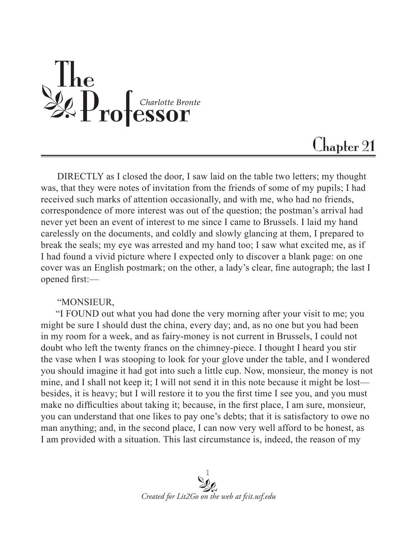

## $Chabler 21$

DIRECTLY as I closed the door, I saw laid on the table two letters; my thought was, that they were notes of invitation from the friends of some of my pupils; I had received such marks of attention occasionally, and with me, who had no friends, correspondence of more interest was out of the question; the postman's arrival had never yet been an event of interest to me since I came to Brussels. I laid my hand carelessly on the documents, and coldly and slowly glancing at them, I prepared to break the seals; my eye was arrested and my hand too; I saw what excited me, as if I had found a vivid picture where I expected only to discover a blank page: on one cover was an English postmark; on the other, a lady's clear, fine autograph; the last I opened first:—

## "MONSIEUR,

 "I FOUND out what you had done the very morning after your visit to me; you might be sure I should dust the china, every day; and, as no one but you had been in my room for a week, and as fairy-money is not current in Brussels, I could not doubt who left the twenty francs on the chimney-piece. I thought I heard you stir the vase when I was stooping to look for your glove under the table, and I wondered you should imagine it had got into such a little cup. Now, monsieur, the money is not mine, and I shall not keep it; I will not send it in this note because it might be lost besides, it is heavy; but I will restore it to you the first time I see you, and you must make no difficulties about taking it; because, in the first place, I am sure, monsieur, you can understand that one likes to pay one's debts; that it is satisfactory to owe no man anything; and, in the second place, I can now very well afford to be honest, as I am provided with a situation. This last circumstance is, indeed, the reason of my

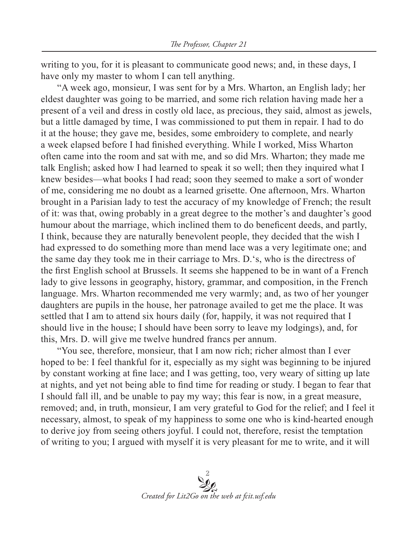writing to you, for it is pleasant to communicate good news; and, in these days, I have only my master to whom I can tell anything.

"A week ago, monsieur, I was sent for by a Mrs. Wharton, an English lady; her eldest daughter was going to be married, and some rich relation having made her a present of a veil and dress in costly old lace, as precious, they said, almost as jewels, but a little damaged by time, I was commissioned to put them in repair. I had to do it at the house; they gave me, besides, some embroidery to complete, and nearly a week elapsed before I had finished everything. While I worked, Miss Wharton often came into the room and sat with me, and so did Mrs. Wharton; they made me talk English; asked how I had learned to speak it so well; then they inquired what I knew besides—what books I had read; soon they seemed to make a sort of wonder of me, considering me no doubt as a learned grisette. One afternoon, Mrs. Wharton brought in a Parisian lady to test the accuracy of my knowledge of French; the result of it: was that, owing probably in a great degree to the mother's and daughter's good humour about the marriage, which inclined them to do beneficent deeds, and partly, I think, because they are naturally benevolent people, they decided that the wish I had expressed to do something more than mend lace was a very legitimate one; and the same day they took me in their carriage to Mrs. D.'s, who is the directress of the first English school at Brussels. It seems she happened to be in want of a French lady to give lessons in geography, history, grammar, and composition, in the French language. Mrs. Wharton recommended me very warmly; and, as two of her younger daughters are pupils in the house, her patronage availed to get me the place. It was settled that I am to attend six hours daily (for, happily, it was not required that I should live in the house; I should have been sorry to leave my lodgings), and, for this, Mrs. D. will give me twelve hundred francs per annum.

"You see, therefore, monsieur, that I am now rich; richer almost than I ever hoped to be: I feel thankful for it, especially as my sight was beginning to be injured by constant working at fine lace; and I was getting, too, very weary of sitting up late at nights, and yet not being able to find time for reading or study. I began to fear that I should fall ill, and be unable to pay my way; this fear is now, in a great measure, removed; and, in truth, monsieur, I am very grateful to God for the relief; and I feel it necessary, almost, to speak of my happiness to some one who is kind-hearted enough to derive joy from seeing others joyful. I could not, therefore, resist the temptation of writing to you; I argued with myself it is very pleasant for me to write, and it will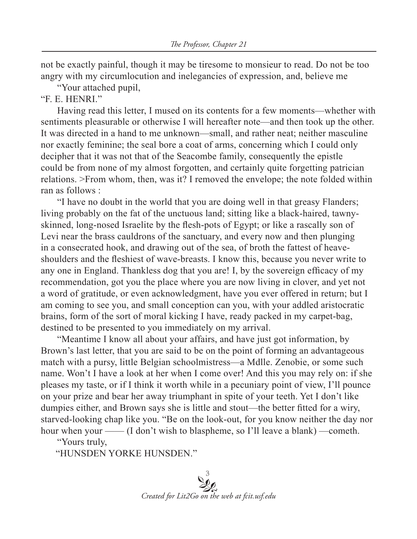not be exactly painful, though it may be tiresome to monsieur to read. Do not be too angry with my circumlocution and inelegancies of expression, and, believe me

"Your attached pupil,

"F. E. HENRI."

Having read this letter, I mused on its contents for a few moments—whether with sentiments pleasurable or otherwise I will hereafter note—and then took up the other. It was directed in a hand to me unknown—small, and rather neat; neither masculine nor exactly feminine; the seal bore a coat of arms, concerning which I could only decipher that it was not that of the Seacombe family, consequently the epistle could be from none of my almost forgotten, and certainly quite forgetting patrician relations. >From whom, then, was it? I removed the envelope; the note folded within ran as follows :

"I have no doubt in the world that you are doing well in that greasy Flanders; living probably on the fat of the unctuous land; sitting like a black-haired, tawnyskinned, long-nosed Israelite by the flesh-pots of Egypt; or like a rascally son of Levi near the brass cauldrons of the sanctuary, and every now and then plunging in a consecrated hook, and drawing out of the sea, of broth the fattest of heaveshoulders and the fleshiest of wave-breasts. I know this, because you never write to any one in England. Thankless dog that you are! I, by the sovereign efficacy of my recommendation, got you the place where you are now living in clover, and yet not a word of gratitude, or even acknowledgment, have you ever offered in return; but I am coming to see you, and small conception can you, with your addled aristocratic brains, form of the sort of moral kicking I have, ready packed in my carpet-bag, destined to be presented to you immediately on my arrival.

"Meantime I know all about your affairs, and have just got information, by Brown's last letter, that you are said to be on the point of forming an advantageous match with a pursy, little Belgian schoolmistress—a Mdlle. Zenobie, or some such name. Won't I have a look at her when I come over! And this you may rely on: if she pleases my taste, or if I think it worth while in a pecuniary point of view, I'll pounce on your prize and bear her away triumphant in spite of your teeth. Yet I don't like dumpies either, and Brown says she is little and stout—the better fitted for a wiry, starved-looking chap like you. "Be on the look-out, for you know neither the day nor hour when your —— (I don't wish to blaspheme, so I'll leave a blank) —cometh.

"Yours truly,

"HUNSDEN YORKE HUNSDEN."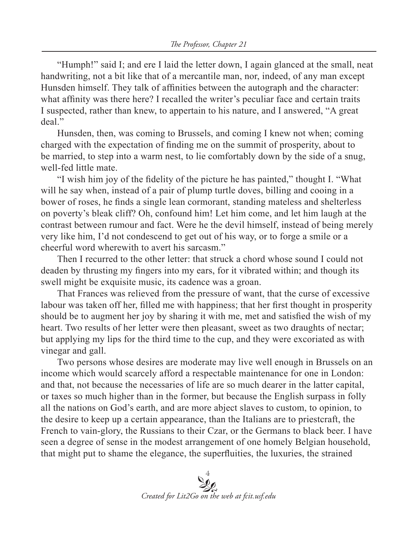"Humph!" said I; and ere I laid the letter down, I again glanced at the small, neat handwriting, not a bit like that of a mercantile man, nor, indeed, of any man except Hunsden himself. They talk of affinities between the autograph and the character: what affinity was there here? I recalled the writer's peculiar face and certain traits I suspected, rather than knew, to appertain to his nature, and I answered, "A great deal."

Hunsden, then, was coming to Brussels, and coming I knew not when; coming charged with the expectation of finding me on the summit of prosperity, about to be married, to step into a warm nest, to lie comfortably down by the side of a snug, well-fed little mate.

"I wish him joy of the fidelity of the picture he has painted," thought I. "What will he say when, instead of a pair of plump turtle doves, billing and cooing in a bower of roses, he finds a single lean cormorant, standing mateless and shelterless on poverty's bleak cliff? Oh, confound him! Let him come, and let him laugh at the contrast between rumour and fact. Were he the devil himself, instead of being merely very like him, I'd not condescend to get out of his way, or to forge a smile or a cheerful word wherewith to avert his sarcasm."

Then I recurred to the other letter: that struck a chord whose sound I could not deaden by thrusting my fingers into my ears, for it vibrated within; and though its swell might be exquisite music, its cadence was a groan.

That Frances was relieved from the pressure of want, that the curse of excessive labour was taken off her, filled me with happiness; that her first thought in prosperity should be to augment her joy by sharing it with me, met and satisfied the wish of my heart. Two results of her letter were then pleasant, sweet as two draughts of nectar; but applying my lips for the third time to the cup, and they were excoriated as with vinegar and gall.

Two persons whose desires are moderate may live well enough in Brussels on an income which would scarcely afford a respectable maintenance for one in London: and that, not because the necessaries of life are so much dearer in the latter capital, or taxes so much higher than in the former, but because the English surpass in folly all the nations on God's earth, and are more abject slaves to custom, to opinion, to the desire to keep up a certain appearance, than the Italians are to priestcraft, the French to vain-glory, the Russians to their Czar, or the Germans to black beer. I have seen a degree of sense in the modest arrangement of one homely Belgian household, that might put to shame the elegance, the superfluities, the luxuries, the strained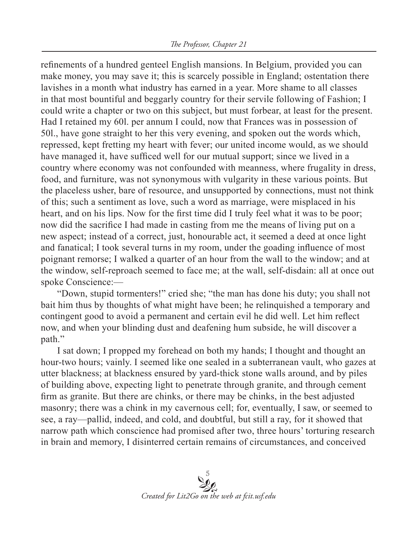refinements of a hundred genteel English mansions. In Belgium, provided you can make money, you may save it; this is scarcely possible in England; ostentation there lavishes in a month what industry has earned in a year. More shame to all classes in that most bountiful and beggarly country for their servile following of Fashion; I could write a chapter or two on this subject, but must forbear, at least for the present. Had I retained my 60l. per annum I could, now that Frances was in possession of 50l., have gone straight to her this very evening, and spoken out the words which, repressed, kept fretting my heart with fever; our united income would, as we should have managed it, have sufficed well for our mutual support; since we lived in a country where economy was not confounded with meanness, where frugality in dress, food, and furniture, was not synonymous with vulgarity in these various points. But the placeless usher, bare of resource, and unsupported by connections, must not think of this; such a sentiment as love, such a word as marriage, were misplaced in his heart, and on his lips. Now for the first time did I truly feel what it was to be poor; now did the sacrifice I had made in casting from me the means of living put on a new aspect; instead of a correct, just, honourable act, it seemed a deed at once light and fanatical; I took several turns in my room, under the goading influence of most poignant remorse; I walked a quarter of an hour from the wall to the window; and at the window, self-reproach seemed to face me; at the wall, self-disdain: all at once out spoke Conscience:—

"Down, stupid tormenters!" cried she; "the man has done his duty; you shall not bait him thus by thoughts of what might have been; he relinquished a temporary and contingent good to avoid a permanent and certain evil he did well. Let him reflect now, and when your blinding dust and deafening hum subside, he will discover a path."

I sat down; I propped my forehead on both my hands; I thought and thought an hour-two hours; vainly. I seemed like one sealed in a subterranean vault, who gazes at utter blackness; at blackness ensured by yard-thick stone walls around, and by piles of building above, expecting light to penetrate through granite, and through cement firm as granite. But there are chinks, or there may be chinks, in the best adjusted masonry; there was a chink in my cavernous cell; for, eventually, I saw, or seemed to see, a ray—pallid, indeed, and cold, and doubtful, but still a ray, for it showed that narrow path which conscience had promised after two, three hours' torturing research in brain and memory, I disinterred certain remains of circumstances, and conceived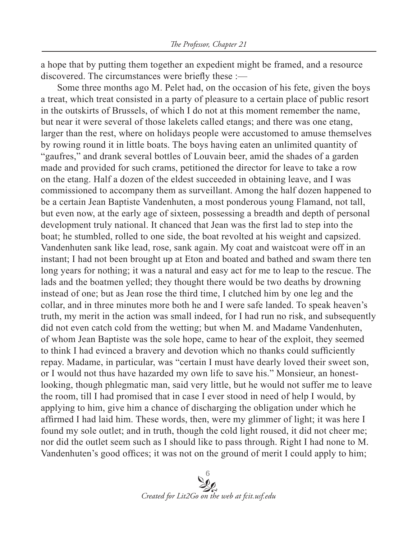a hope that by putting them together an expedient might be framed, and a resource discovered. The circumstances were briefly these :—

Some three months ago M. Pelet had, on the occasion of his fete, given the boys a treat, which treat consisted in a party of pleasure to a certain place of public resort in the outskirts of Brussels, of which I do not at this moment remember the name, but near it were several of those lakelets called etangs; and there was one etang, larger than the rest, where on holidays people were accustomed to amuse themselves by rowing round it in little boats. The boys having eaten an unlimited quantity of "gaufres," and drank several bottles of Louvain beer, amid the shades of a garden made and provided for such crams, petitioned the director for leave to take a row on the etang. Half a dozen of the eldest succeeded in obtaining leave, and I was commissioned to accompany them as surveillant. Among the half dozen happened to be a certain Jean Baptiste Vandenhuten, a most ponderous young Flamand, not tall, but even now, at the early age of sixteen, possessing a breadth and depth of personal development truly national. It chanced that Jean was the first lad to step into the boat; he stumbled, rolled to one side, the boat revolted at his weight and capsized. Vandenhuten sank like lead, rose, sank again. My coat and waistcoat were off in an instant; I had not been brought up at Eton and boated and bathed and swam there ten long years for nothing; it was a natural and easy act for me to leap to the rescue. The lads and the boatmen yelled; they thought there would be two deaths by drowning instead of one; but as Jean rose the third time, I clutched him by one leg and the collar, and in three minutes more both he and I were safe landed. To speak heaven's truth, my merit in the action was small indeed, for I had run no risk, and subsequently did not even catch cold from the wetting; but when M. and Madame Vandenhuten, of whom Jean Baptiste was the sole hope, came to hear of the exploit, they seemed to think I had evinced a bravery and devotion which no thanks could sufficiently repay. Madame, in particular, was "certain I must have dearly loved their sweet son, or I would not thus have hazarded my own life to save his." Monsieur, an honestlooking, though phlegmatic man, said very little, but he would not suffer me to leave the room, till I had promised that in case I ever stood in need of help I would, by applying to him, give him a chance of discharging the obligation under which he affirmed I had laid him. These words, then, were my glimmer of light; it was here I found my sole outlet; and in truth, though the cold light roused, it did not cheer me; nor did the outlet seem such as I should like to pass through. Right I had none to M. Vandenhuten's good offices; it was not on the ground of merit I could apply to him;